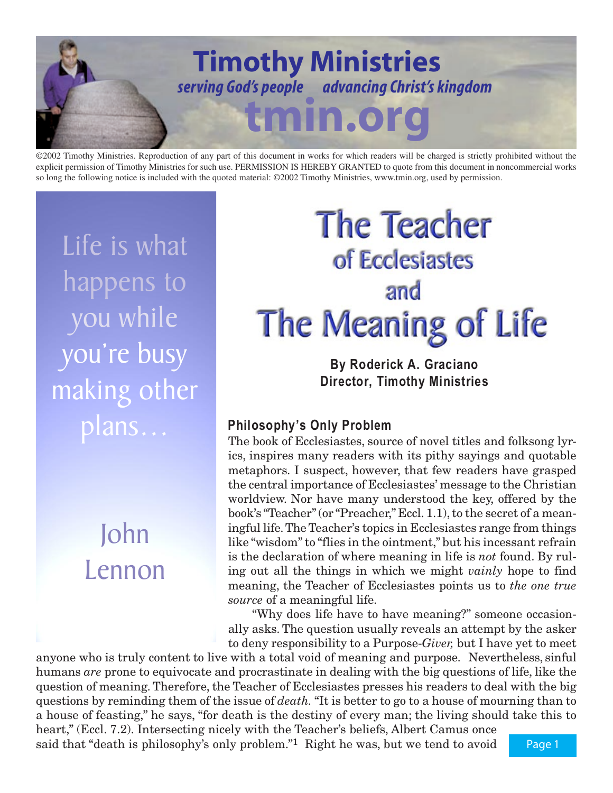

©2002 Timothy Ministries. Reproduction of any part of this document in works for which readers will be charged is strictly prohibited without the explicit permission of Timothy Ministries for such use. PERMISSION IS HEREBY GRANTED to quote from this document in noncommercial works so long the following notice is included with the quoted material: ©2002 Timothy Ministries, www.tmin.org, used by permission.

Life is what happens to you while you're busy making other plans…

# John Lennon

# **The Teacher** of Ecclesiastes and The Meaning of Life

**By Roderick A. Graciano Director, Timothy Ministries**

# **Philosophy's Only Problem**

The book of Ecclesiastes, source of novel titles and folksong lyrics, inspires many readers with its pithy sayings and quotable metaphors. I suspect, however, that few readers have grasped the central importance of Ecclesiastes' message to the Christian worldview. Nor have many understood the key, offered by the book's "Teacher" (or "Preacher," Eccl. 1.1), to the secret of a meaningful life. The Teacher's topics in Ecclesiastes range from things like "wisdom" to "flies in the ointment," but his incessant refrain is the declaration of where meaning in life is *not* found. By ruling out all the things in which we might *vainly* hope to find meaning, the Teacher of Ecclesiastes points us to *the one true source* of a meaningful life.

"Why does life have to have meaning?" someone occasionally asks. The question usually reveals an attempt by the asker to deny responsibility to a Purpose-*Giver,* but I have yet to meet

anyone who is truly content to live with a total void of meaning and purpose. Nevertheless, sinful humans *are* prone to equivocate and procrastinate in dealing with the big questions of life, like the question of meaning. Therefore, the Teacher of Ecclesiastes presses his readers to deal with the big questions by reminding them of the issue of *death.* "It is better to go to a house of mourning than to a house of feasting," he says, "for death is the destiny of every man; the living should take this to

heart," (Eccl. 7.2). Intersecting nicely with the Teacher's beliefs, Albert Camus once said that "death is philosophy's only problem."1 Right he was, but we tend to avoid

Page 1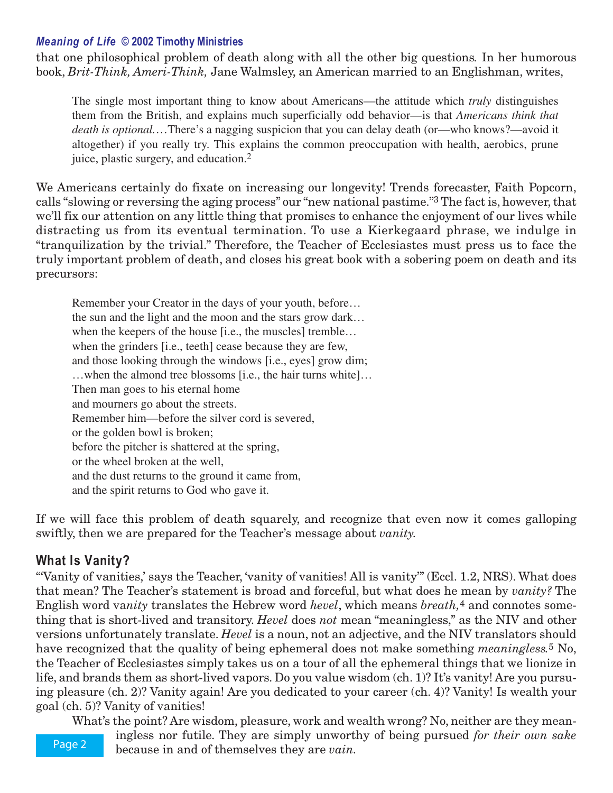#### *Meaning of Life* **© 2002 Timothy Ministries**

that one philosophical problem of death along with all the other big questions*.* In her humorous book, *Brit-Think, Ameri-Think,* Jane Walmsley, an American married to an Englishman, writes,

The single most important thing to know about Americans—the attitude which *truly* distinguishes them from the British, and explains much superficially odd behavior—is that *Americans think that death is optional.*…There's a nagging suspicion that you can delay death (or—who knows?—avoid it altogether) if you really try. This explains the common preoccupation with health, aerobics, prune juice, plastic surgery, and education.2

We Americans certainly do fixate on increasing our longevity! Trends forecaster, Faith Popcorn, calls "slowing or reversing the aging process" our "new national pastime."3 The fact is, however, that we'll fix our attention on any little thing that promises to enhance the enjoyment of our lives while distracting us from its eventual termination. To use a Kierkegaard phrase, we indulge in "tranquilization by the trivial." Therefore, the Teacher of Ecclesiastes must press us to face the truly important problem of death, and closes his great book with a sobering poem on death and its precursors:

Remember your Creator in the days of your youth, before… the sun and the light and the moon and the stars grow dark… when the keepers of the house [i.e., the muscles] tremble... when the grinders [i.e., teeth] cease because they are few, and those looking through the windows [i.e., eyes] grow dim; …when the almond tree blossoms [i.e., the hair turns white]… Then man goes to his eternal home and mourners go about the streets. Remember him—before the silver cord is severed, or the golden bowl is broken; before the pitcher is shattered at the spring, or the wheel broken at the well, and the dust returns to the ground it came from, and the spirit returns to God who gave it.

If we will face this problem of death squarely, and recognize that even now it comes galloping swiftly, then we are prepared for the Teacher's message about *vanity.*

### **What Is Vanity?**

"Vanity of vanities,' says the Teacher, 'vanity of vanities! All is vanity" (Eccl. 1.2, NRS). What does that mean? The Teacher's statement is broad and forceful, but what does he mean by *vanity?* The English word va*nity* translates the Hebrew word *hevel*, which means *breath,*4 and connotes something that is short-lived and transitory. *Hevel* does *not* mean "meaningless," as the NIV and other versions unfortunately translate. *Hevel* is a noun, not an adjective, and the NIV translators should have recognized that the quality of being ephemeral does not make something *meaningless.*5 No, the Teacher of Ecclesiastes simply takes us on a tour of all the ephemeral things that we lionize in life, and brands them as short-lived vapors. Do you value wisdom (ch. 1)? It's vanity! Are you pursuing pleasure (ch. 2)? Vanity again! Are you dedicated to your career (ch. 4)? Vanity! Is wealth your goal (ch. 5)? Vanity of vanities!

What's the point? Are wisdom, pleasure, work and wealth wrong? No, neither are they mean-

Page 2

ingless nor futile. They are simply unworthy of being pursued *for their own sake* because in and of themselves they are *vain.*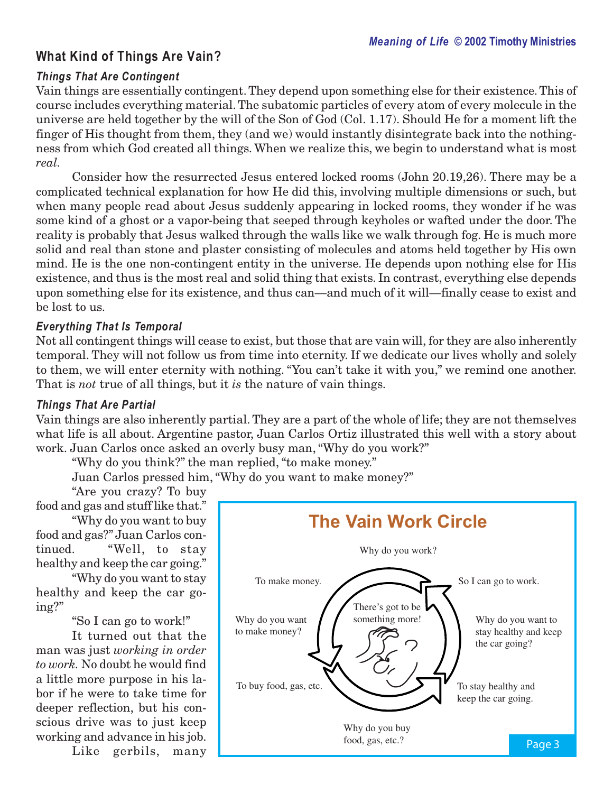# **What Kind of Things Are Vain?**

#### *Things That Are Contingent*

Vain things are essentially contingent. They depend upon something else for their existence. This of course includes everything material. The subatomic particles of every atom of every molecule in the universe are held together by the will of the Son of God (Col. 1.17). Should He for a moment lift the finger of His thought from them, they (and we) would instantly disintegrate back into the nothingness from which God created all things. When we realize this, we begin to understand what is most *real.*

Consider how the resurrected Jesus entered locked rooms (John 20.19,26). There may be a complicated technical explanation for how He did this, involving multiple dimensions or such, but when many people read about Jesus suddenly appearing in locked rooms, they wonder if he was some kind of a ghost or a vapor-being that seeped through keyholes or wafted under the door. The reality is probably that Jesus walked through the walls like we walk through fog. He is much more solid and real than stone and plaster consisting of molecules and atoms held together by His own mind. He is the one non-contingent entity in the universe. He depends upon nothing else for His existence, and thus is the most real and solid thing that exists. In contrast, everything else depends upon something else for its existence, and thus can—and much of it will—finally cease to exist and be lost to us.

#### *Everything That Is Temporal*

Not all contingent things will cease to exist, but those that are vain will, for they are also inherently temporal. They will not follow us from time into eternity. If we dedicate our lives wholly and solely to them, we will enter eternity with nothing. "You can't take it with you," we remind one another. That is *not* true of all things, but it *is* the nature of vain things.

#### *Things That Are Partial*

Vain things are also inherently partial. They are a part of the whole of life; they are not themselves what life is all about. Argentine pastor, Juan Carlos Ortiz illustrated this well with a story about work. Juan Carlos once asked an overly busy man, "Why do you work?"

"Why do you think?" the man replied, "to make money."

Juan Carlos pressed him, "Why do you want to make money?"

"Are you crazy? To buy

food and gas and stuff like that." "Why do you want to buy

food and gas?" Juan Carlos continued. "Well, to stay healthy and keep the car going."

"Why do you want to stay healthy and keep the car going?"

"So I can go to work!"

It turned out that the man was just *working in order to work.* No doubt he would find a little more purpose in his labor if he were to take time for deeper reflection, but his conscious drive was to just keep working and advance in his job.

Like gerbils, many

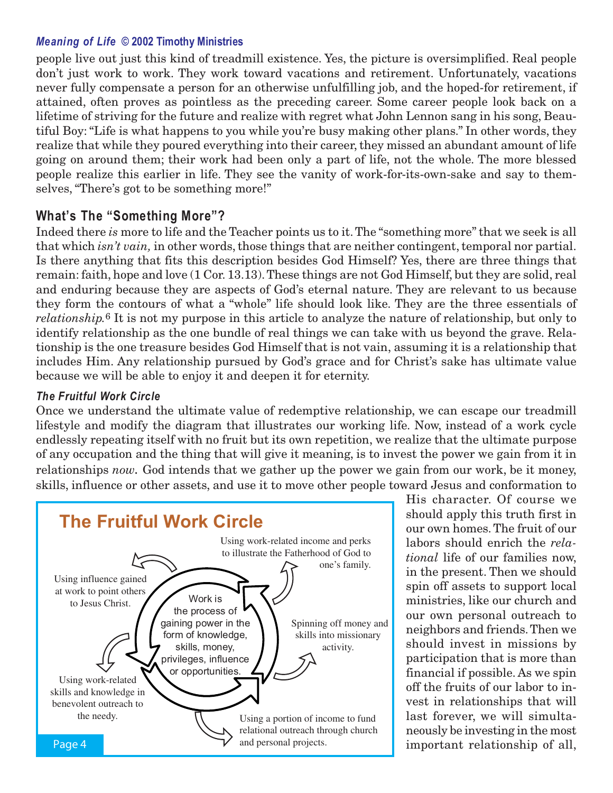#### *Meaning of Life* **© 2002 Timothy Ministries**

people live out just this kind of treadmill existence. Yes, the picture is oversimplified. Real people don't just work to work. They work toward vacations and retirement. Unfortunately, vacations never fully compensate a person for an otherwise unfulfilling job, and the hoped-for retirement, if attained, often proves as pointless as the preceding career. Some career people look back on a lifetime of striving for the future and realize with regret what John Lennon sang in his song, Beautiful Boy: "Life is what happens to you while you're busy making other plans." In other words, they realize that while they poured everything into their career, they missed an abundant amount of life going on around them; their work had been only a part of life, not the whole. The more blessed people realize this earlier in life. They see the vanity of work-for-its-own-sake and say to themselves, "There's got to be something more!"

#### **What's The "Something More"?**

Indeed there *is* more to life and the Teacher points us to it. The "something more" that we seek is all that which *isn't vain,* in other words, those things that are neither contingent, temporal nor partial. Is there anything that fits this description besides God Himself? Yes, there are three things that remain: faith, hope and love (1 Cor. 13.13). These things are not God Himself, but they are solid, real and enduring because they are aspects of God's eternal nature. They are relevant to us because they form the contours of what a "whole" life should look like. They are the three essentials of *relationship.*6 It is not my purpose in this article to analyze the nature of relationship, but only to identify relationship as the one bundle of real things we can take with us beyond the grave. Relationship is the one treasure besides God Himself that is not vain, assuming it is a relationship that includes Him. Any relationship pursued by God's grace and for Christ's sake has ultimate value because we will be able to enjoy it and deepen it for eternity.

#### *The Fruitful Work Circle*

Once we understand the ultimate value of redemptive relationship, we can escape our treadmill lifestyle and modify the diagram that illustrates our working life. Now, instead of a work cycle endlessly repeating itself with no fruit but its own repetition, we realize that the ultimate purpose of any occupation and the thing that will give it meaning, is to invest the power we gain from it in relationships *now.* God intends that we gather up the power we gain from our work, be it money, skills, influence or other assets, and use it to move other people toward Jesus and conformation to



His character. Of course we should apply this truth first in our own homes. The fruit of our labors should enrich the *relational* life of our families now, in the present. Then we should spin off assets to support local ministries, like our church and our own personal outreach to neighbors and friends. Then we should invest in missions by participation that is more than financial if possible. As we spin off the fruits of our labor to invest in relationships that will last forever, we will simultaneously be investing in the most important relationship of all,